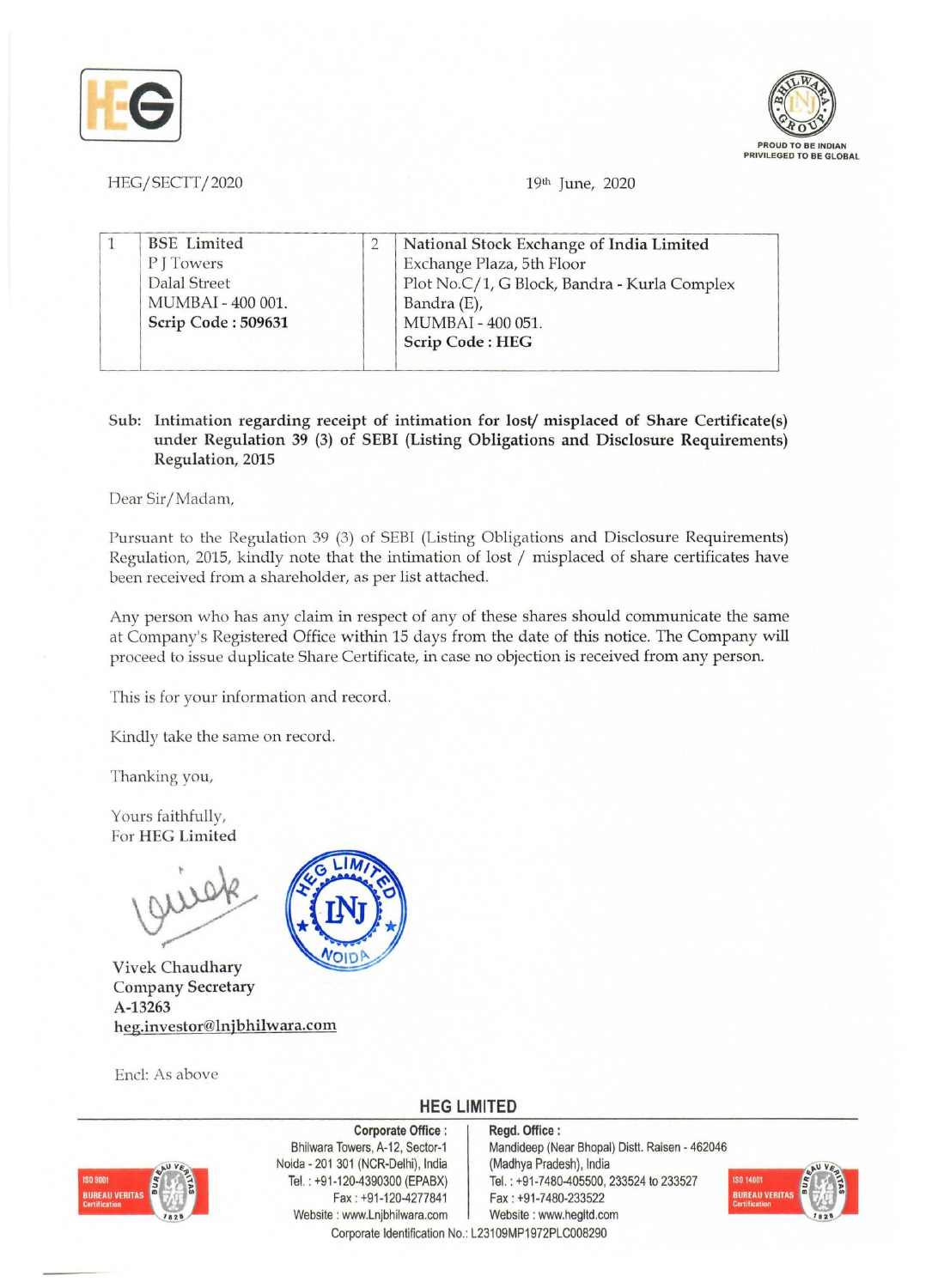



HEG/SECTT/2020 19th June, 2020

|  | <b>BSE</b> Limited | National Stock Exchange of India Limited     |
|--|--------------------|----------------------------------------------|
|  | PITowers           | Exchange Plaza, 5th Floor                    |
|  | Dalal Street       | Plot No.C/1, G Block, Bandra - Kurla Complex |
|  | MUMBAI - 400 001.  | Bandra (E),                                  |
|  | Scrip Code: 509631 | MUMBAI - 400 051.                            |
|  |                    | Scrip Code: HEG                              |

## Sub: Intimation regarding receipt of intimation for lost/ misplaced of Share Certificate(s) under Regulation 39 (3) of SEBI (Listing Obligations and Disclosure Requirements) Regulation, 2015

Dear Sir/Madam,

Pursuant to the Regulation 39 (3) of SEBI (Listing Obligations and Disclosure Requirements) Regulation, 2015, kindly note that the intimation of lost / misplaced of share certificates have been received from a shareholder, as per list attached.

Any person who has any claim in respect of any of these shares should communicate the same at Company's Registered Office within 15 days from the date of this notice. The Company will proceed to issue duplicate Share Certificate, in case no objection is received from any person.

This is for your information and record.

Kindly take the same on record.

Thanking you,

Yours faithfully, For HEG Limited

VOID

Vivek Chaudhary Company Secretary A-13263 heg.investor@lnjbhilwara.com

End: As above

## **HEG LIMITED**  Regd. Office:



Corporate Office: Bhilwara Towers, A-12, Sector-1 Noida - 201 301 (NCR-Delhi), India Tel. : +91-120-4390300 (EPABX) Fax: +91-120-4277841 Website: www.Lnjbhilwara.com | Website: www.hegltd.com

Mandideep (Near Bhopal) Distt. Raisen - 462046 (Madhya Pradesh), India Tel. : +91-7480-405500, 233524 to 233527 Fax: +91-7480-233522



Corporate Identification No.: L23109MP1972PLC008290